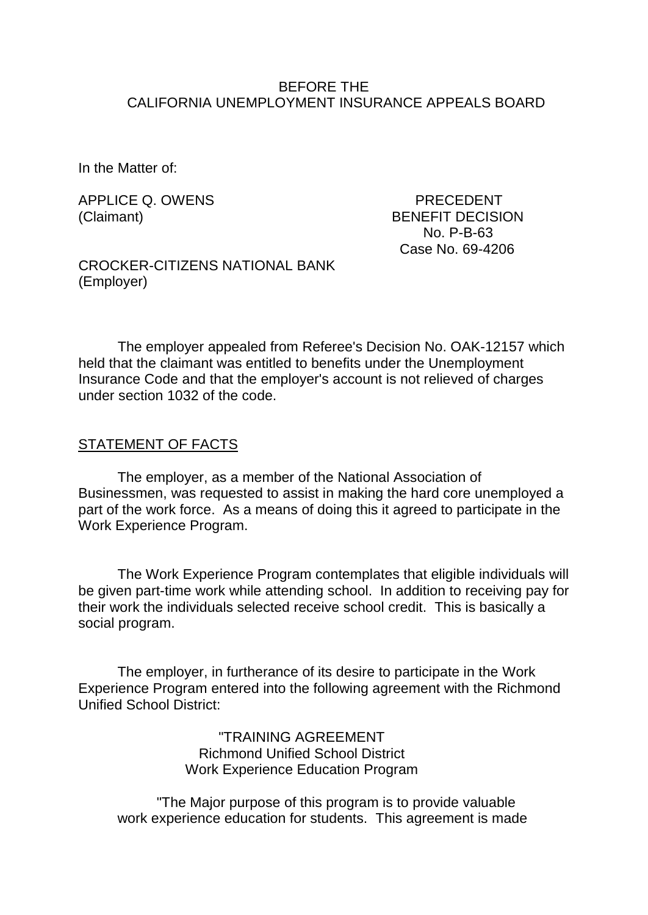#### BEFORE THE CALIFORNIA UNEMPLOYMENT INSURANCE APPEALS BOARD

In the Matter of:

APPLICE Q. OWENS PRECEDENT

(Claimant) BENEFIT DECISION No. P-B-63 Case No. 69-4206

CROCKER-CITIZENS NATIONAL BANK (Employer)

The employer appealed from Referee's Decision No. OAK-12157 which held that the claimant was entitled to benefits under the Unemployment Insurance Code and that the employer's account is not relieved of charges under section 1032 of the code.

#### STATEMENT OF FACTS

The employer, as a member of the National Association of Businessmen, was requested to assist in making the hard core unemployed a part of the work force. As a means of doing this it agreed to participate in the Work Experience Program.

The Work Experience Program contemplates that eligible individuals will be given part-time work while attending school. In addition to receiving pay for their work the individuals selected receive school credit. This is basically a social program.

The employer, in furtherance of its desire to participate in the Work Experience Program entered into the following agreement with the Richmond Unified School District:

> "TRAINING AGREEMENT Richmond Unified School District Work Experience Education Program

"The Major purpose of this program is to provide valuable work experience education for students. This agreement is made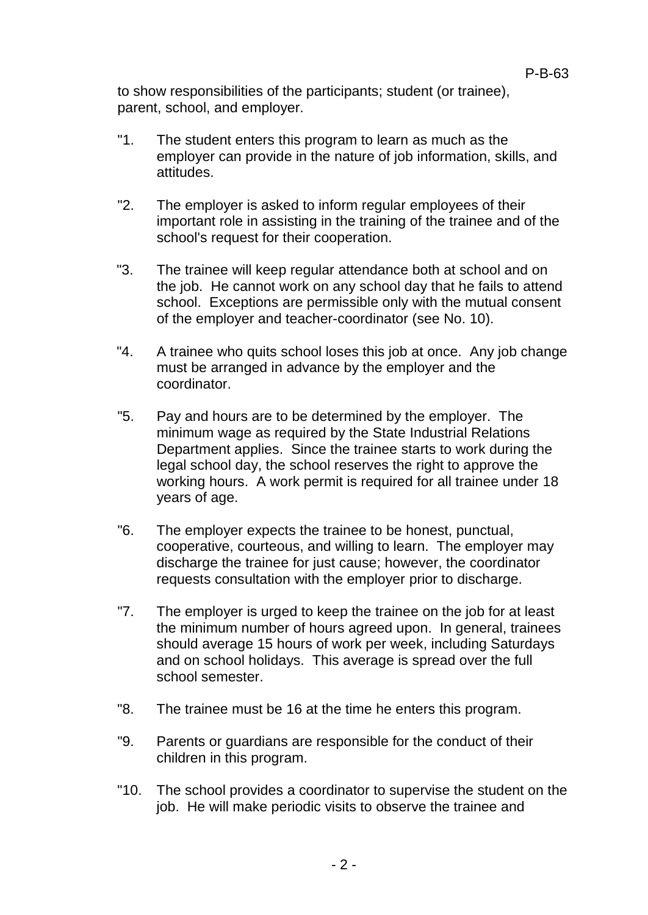to show responsibilities of the participants; student (or trainee), parent, school, and employer.

- "1. The student enters this program to learn as much as the employer can provide in the nature of job information, skills, and attitudes.
- "2. The employer is asked to inform regular employees of their important role in assisting in the training of the trainee and of the school's request for their cooperation.
- "3. The trainee will keep regular attendance both at school and on the job. He cannot work on any school day that he fails to attend school. Exceptions are permissible only with the mutual consent of the employer and teacher-coordinator (see No. 10).
- "4. A trainee who quits school loses this job at once. Any job change must be arranged in advance by the employer and the coordinator.
- "5. Pay and hours are to be determined by the employer. The minimum wage as required by the State Industrial Relations Department applies. Since the trainee starts to work during the legal school day, the school reserves the right to approve the working hours. A work permit is required for all trainee under 18 years of age.
- "6. The employer expects the trainee to be honest, punctual, cooperative, courteous, and willing to learn. The employer may discharge the trainee for just cause; however, the coordinator requests consultation with the employer prior to discharge.
- "7. The employer is urged to keep the trainee on the job for at least the minimum number of hours agreed upon. In general, trainees should average 15 hours of work per week, including Saturdays and on school holidays. This average is spread over the full school semester.
- "8. The trainee must be 16 at the time he enters this program.
- "9. Parents or guardians are responsible for the conduct of their children in this program.
- "10. The school provides a coordinator to supervise the student on the job. He will make periodic visits to observe the trainee and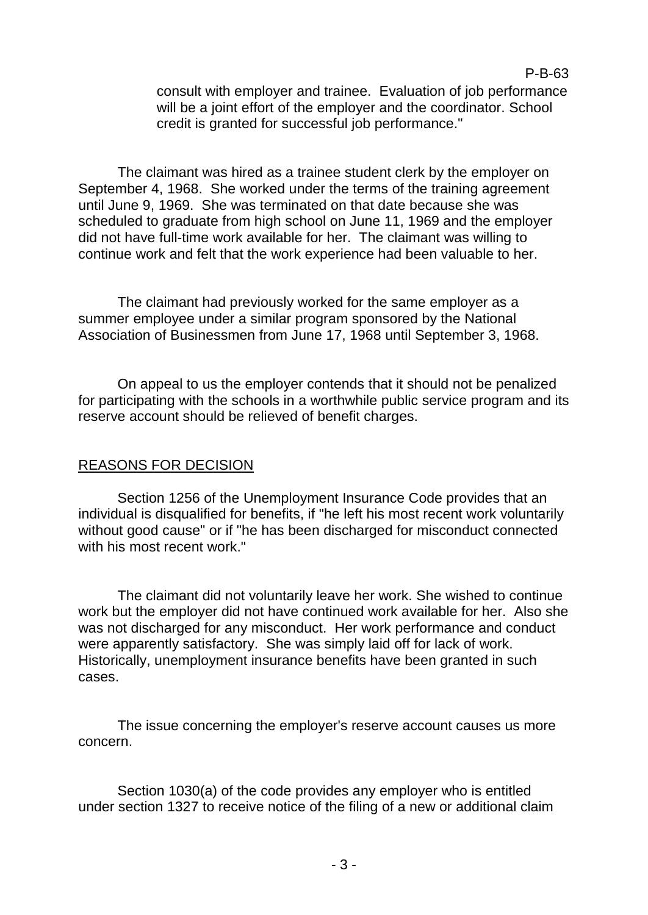### P-B-63

consult with employer and trainee. Evaluation of job performance will be a joint effort of the employer and the coordinator. School credit is granted for successful job performance."

The claimant was hired as a trainee student clerk by the employer on September 4, 1968. She worked under the terms of the training agreement until June 9, 1969. She was terminated on that date because she was scheduled to graduate from high school on June 11, 1969 and the employer did not have full-time work available for her. The claimant was willing to continue work and felt that the work experience had been valuable to her.

The claimant had previously worked for the same employer as a summer employee under a similar program sponsored by the National Association of Businessmen from June 17, 1968 until September 3, 1968.

On appeal to us the employer contends that it should not be penalized for participating with the schools in a worthwhile public service program and its reserve account should be relieved of benefit charges.

# REASONS FOR DECISION

Section 1256 of the Unemployment Insurance Code provides that an individual is disqualified for benefits, if "he left his most recent work voluntarily without good cause" or if "he has been discharged for misconduct connected with his most recent work."

The claimant did not voluntarily leave her work. She wished to continue work but the employer did not have continued work available for her. Also she was not discharged for any misconduct. Her work performance and conduct were apparently satisfactory. She was simply laid off for lack of work. Historically, unemployment insurance benefits have been granted in such cases.

The issue concerning the employer's reserve account causes us more concern.

Section 1030(a) of the code provides any employer who is entitled under section 1327 to receive notice of the filing of a new or additional claim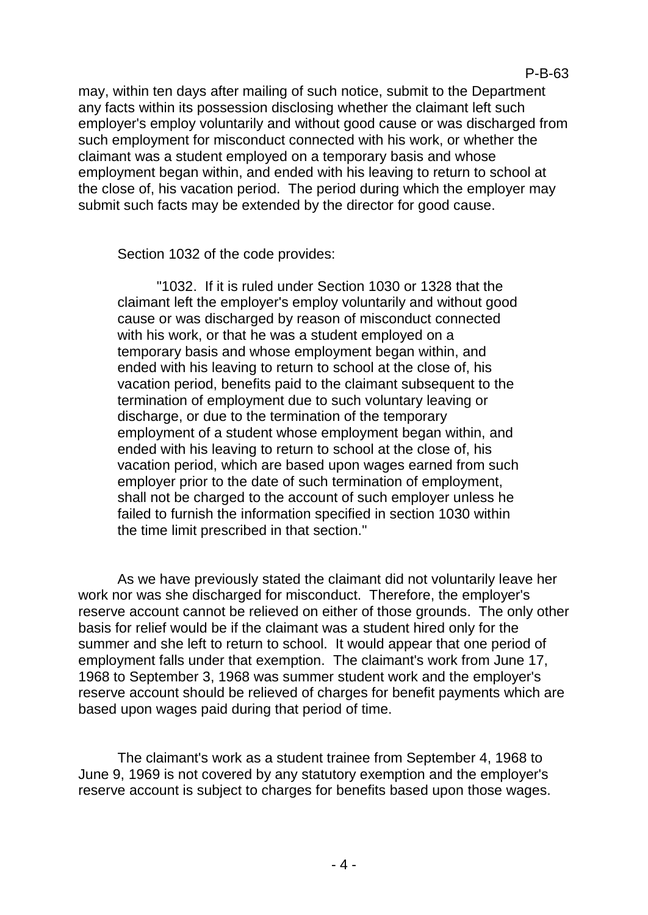may, within ten days after mailing of such notice, submit to the Department any facts within its possession disclosing whether the claimant left such employer's employ voluntarily and without good cause or was discharged from such employment for misconduct connected with his work, or whether the claimant was a student employed on a temporary basis and whose employment began within, and ended with his leaving to return to school at the close of, his vacation period. The period during which the employer may submit such facts may be extended by the director for good cause.

Section 1032 of the code provides:

"1032. If it is ruled under Section 1030 or 1328 that the claimant left the employer's employ voluntarily and without good cause or was discharged by reason of misconduct connected with his work, or that he was a student employed on a temporary basis and whose employment began within, and ended with his leaving to return to school at the close of, his vacation period, benefits paid to the claimant subsequent to the termination of employment due to such voluntary leaving or discharge, or due to the termination of the temporary employment of a student whose employment began within, and ended with his leaving to return to school at the close of, his vacation period, which are based upon wages earned from such employer prior to the date of such termination of employment, shall not be charged to the account of such employer unless he failed to furnish the information specified in section 1030 within the time limit prescribed in that section."

As we have previously stated the claimant did not voluntarily leave her work nor was she discharged for misconduct. Therefore, the employer's reserve account cannot be relieved on either of those grounds. The only other basis for relief would be if the claimant was a student hired only for the summer and she left to return to school. It would appear that one period of employment falls under that exemption. The claimant's work from June 17, 1968 to September 3, 1968 was summer student work and the employer's reserve account should be relieved of charges for benefit payments which are based upon wages paid during that period of time.

The claimant's work as a student trainee from September 4, 1968 to June 9, 1969 is not covered by any statutory exemption and the employer's reserve account is subject to charges for benefits based upon those wages.